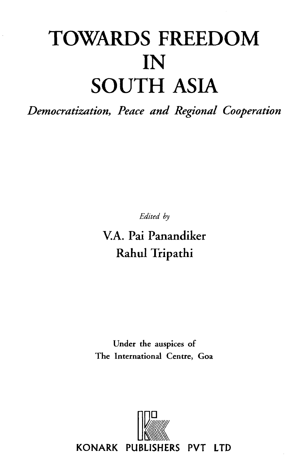# TOWARDS FREEDOM<br>IN<br>SOUTH ASIA

*Democratization***,** *Peace and Regional Cooperation*

*Edited by*

**V.A. Pai Panandiker Rahul Tripathi**

**Under the auspices of The International Centre, Goa**

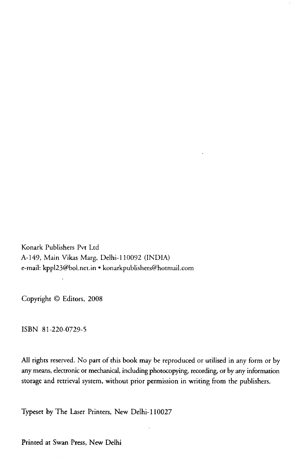Konark Publishers Pvt Ltd A -149, Main Vikas Marg, Delhi-110092 (INDIA) e-mail: [kppl23@bol.net.in](mailto:kppl23@bol.net.in) • [konarkpublishers@hotmail.com](mailto:konarkpublishers@hotmail.com)

Copyright © Editors, 2008

ISBN 81-220-0729-5

All rights reserved. No part of this book may be reproduced or utilised in any form or by any means, electronic or mechanical, including photocopying, recording, or by any information storage and retrieval system, without prior permission in writing from the publishers.

Typeset by The Laser Printers, New Delhi-110027

Printed at Swan Press, New Delhi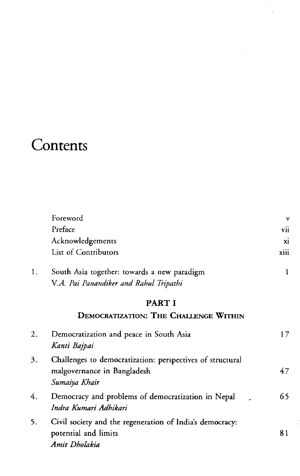# **Contents**

|    | Foreword                                                  | v    |
|----|-----------------------------------------------------------|------|
|    | Preface                                                   | vii  |
|    | Acknowledgements                                          | X1   |
|    | List of Contributors                                      | xiii |
| 1. | South Asia together: towards a new paradigm               | 1    |
|    | V.A. Pai Panandiker and Rahul Tripathi                    |      |
|    | PART I                                                    |      |
|    | <b>DEMOCRATIZATION: THE CHALLENGE WITHIN</b>              |      |
| 2. | Democratization and peace in South Asia                   | 17   |
|    | Kanti Bajpai                                              |      |
| 3. | Challenges to democratization: perspectives of structural |      |
|    | malgovernance in Bangladesh                               | 47   |
|    | Sumaiya Khair                                             |      |
| 4. | Democracy and problems of democratization in Nepal        | 65   |
|    | Indra Kumari Adhikari                                     |      |
| 5. | Civil society and the regeneration of India's democracy:  |      |
|    | potential and limits                                      | 81   |
|    | Amit Dholakia                                             |      |

 $\hat{\boldsymbol{\beta}}$  $\overline{\phantom{a}}$ 

ga sa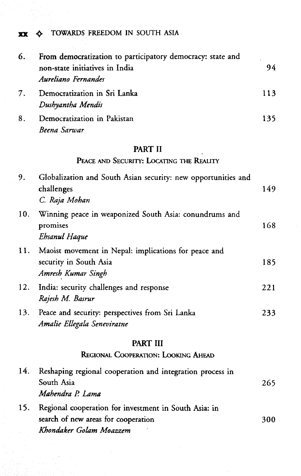### **XX**  $\leftrightarrow$  **TOWARDS FREEDOM IN SOUTH ASIA**

| 6. | From democratization to participatory democracy: state and |     |
|----|------------------------------------------------------------|-----|
|    | non-state initiatives in India<br>Aureliano Fernandes      | 94  |
| 7. | Democratization in Sri Lanka<br>Dushyantha Mendis          | 113 |
| 8. | Democratization in Pakistan<br>Beena Sarwar                | 135 |

# PART II

## **PEACE AND SECURITY: LOCATING THE REALITY**

| 9.  | Globalization and South Asian security: new opportunities and<br>challenges<br>C. Raja Mohan                            | 149 |
|-----|-------------------------------------------------------------------------------------------------------------------------|-----|
| 10. | Winning peace in weaponized South Asia: conundrums and<br>promises<br>Ehsanul Haque                                     | 168 |
| 11. | Maoist movement in Nepal: implications for peace and<br>security in South Asia<br>Amresh Kumar Singh                    | 185 |
| 12. | India: security challenges and response<br>Rajesh M. Basrur                                                             | 221 |
| 13. | Peace and security: perspectives from Sri Lanka<br>Amalie Ellegala Seneviratne                                          | 233 |
|     | PART III                                                                                                                |     |
|     | REGIONAL COOPERATION: LOOKING AHEAD                                                                                     |     |
| 14. | Reshaping regional cooperation and integration process in<br>South Asia<br>Mahendra P. Lama                             | 265 |
| 15. | Regional cooperation for investment in South Asia: in<br>search of new areas for cooperation<br>Khondaker Golam Moazzem | 300 |